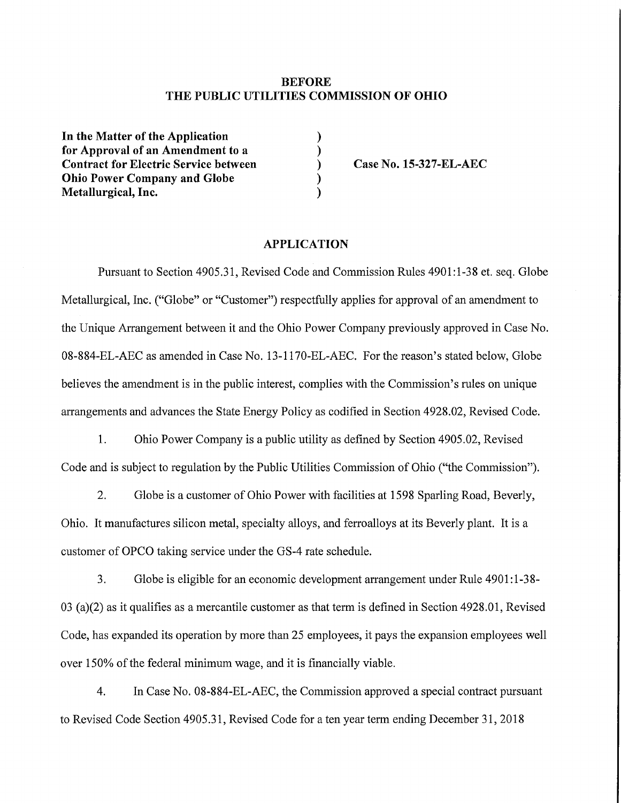### **BEFORE THE PUBLIC UTILITIES COMMISSION OF OHIO**

**)**

**)**

**) )**

In the Matter of the Application **for Approval of an Amendment to a Contract for Electric Service between Ohio Power Company and Globe Metallurgical, Inc.**

**) Case No. 15-327-EL-AEC**

#### **APPLICATION**

Pursuant to Section 4905.31, Revised Code and Commission Rules 4901:1-38 et. seq. Globe Metallurgical, Inc. ("Globe" or "Customer") respectfully applies for approval of an amendment to the Unique Arrangement between it and the Ohio Power Company previously approved in Case No. 08-884-EL-AEC as amended in Case No. 13-1170-EL-AEC. For the reason's stated below. Globe believes the amendment is in the public interest, complies with the Commission's rules on unique arrangements and advances the State Energy Policy as codified in Section 4928.02, Revised Code.

1. Ohio Power Company is a public utility as defined by Section 4905.02, Revised Code and is subject to regulation by the Public Utilities Commission of Ohio ("the Commission").

2. Globe is a customer of Ohio Power with facilities at 1598 Sparling Road, Beverly, Ohio. It manufactures silicon metal, specialty alloys, and ferroalloys at its Beverly plant. It is a customer of OPCO taking service under the GS-4 rate schedule.

3. Globe is eligible for an economic development arrangement under Rule 4901:1-38- 03 (a)(2) as it qualifies as a mercantile customer as that term is defined in Section 4928.01, Revised Code, has expanded its operation by more than 25 employees, it pays the expansion employees well over 150% of the federal minimum wage, and it is financially viable.

4. In Case No. 08-884-EL-AEC, the Commission approved a special contract pursuant to Revised Code Section 4905.31, Revised Code for a ten year term ending December 31, 2018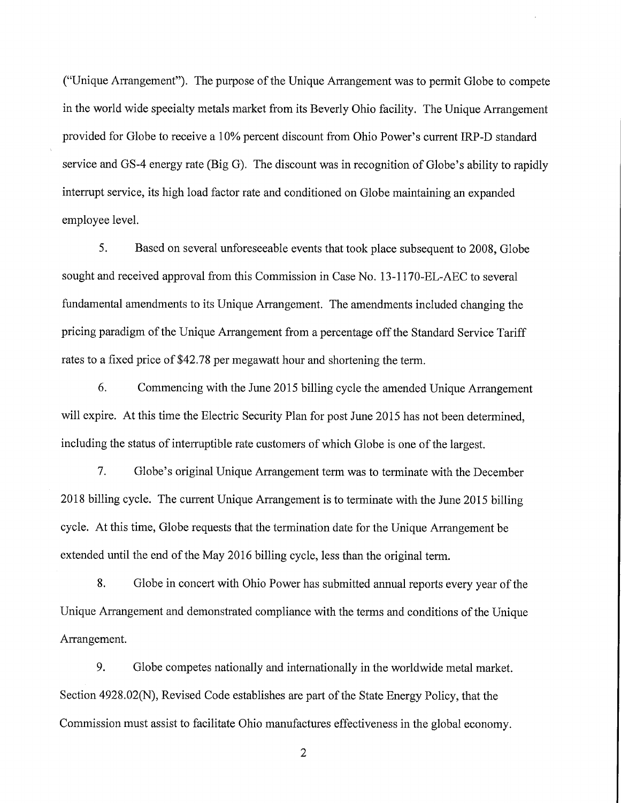("Unique Arrangement"). The purpose of the Unique Arrangement was to permit Globe to compete in the world wide speeialty metals market from its Beverly Ohio facility. The Unique Arrangement provided for Globe to receive a 10% percent discount from Ohio Power's current IRP-D standard service and GS-4 energy rate (Big G). The discount was in recognition of Globe's ability to rapidly interrupt service, its high load factor rate and conditioned on Globe maintaining an expanded employee level.

5. Based on several unforeseeable events that took place subsequent to 2008, Globe sought and received approval from this Commission in Case No. 13-1170-EL-AEC to several fundamental amendments to its Unique Arrangement. The amendments included changing the pricing paradigm of the Unique Arrangement from a percentage off the Standard Service Tariff rates to a fixed price of \$42.78 per megawatt hour and shortening the term.

Commencing with the June 2015 billing cycle the amended Unique Arrangement will expire. At this time the Electric Security Plan for post June 2015 has not been determined. 6. including the status of interruptible rate customers of which Globe is one of the largest.

7. Globe's original Unique Arrangement term was to terminate with the December 2018 billing cycle. The current Unique Arrangement is to terminate with the June 2015 billing cycle. At this time. Globe requests that the termination date for the Unique Arrangement be extended until the end of the May 2016 billing cycle, less than the original term.

Globe in concert with Ohio Power has submitted annual reports every year of the Unique Arrangement and demonstrated compliance with the terms and conditions ofthe Unique 8. Arrangement.

9. Globe competes nationally and internationally in the worldwide metal market. Section 4928.02(N), Revised Code establishes are part of the State Energy Policy, that the Commission must assist to facilitate Ohio manufactures effectiveness in the global economy.

2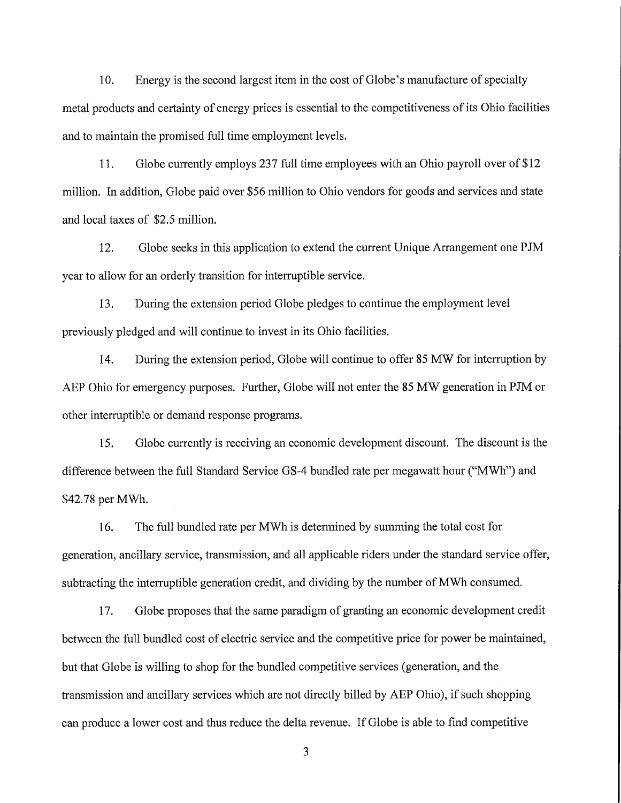10. Energy is the second largest item in the cost of Globe's manufacture of specialty metal products and certainty of energy prices is essential to the competitiveness of its Ohio facilities and to maintain the promised full time employment levels.

11. Globe currently employs 237 full time employees with an Ohio payroll over of \$12 million. In addition, Globe paid over \$56 million to Ohio vendors for goods and services and state and local taxes of \$2.5 million.

12. Globe seeks in this application to extend the current Unique Arrangement one PJM year to allow for an orderly transition for interruptible service.

13. During the extension period Globe pledges to continue the employment level previously pledged and will continue to invest in its Ohio facilities.

14. During the extension period, Globe will continue to offer 85 MW for interruption by AEP Ohio for emergency purposes. Further, Globe will not enter the 85 MW generation in PJM or other interruptible or demand response programs.

15. Globe currently is receiving an economic development discoimt. The discount is the difference between the full Standard Service GS-4 bundled rate per megawatt hour ("MWh") and \$42.78 per MWh.

16. The full bundled rate per MWh is determined by summing the total cost for generation, ancillary service, transmission, and all applicable riders under the standard service offer. subtracting the interruptible generation credit, and dividing by the number of MWh consumed.

17. Globe proposes that the same paradigm of granting an economic development credit between the full bundled cost of electric service and the competitive price for power be maintained, but that Globe is willing to shop for the bundled competitive services (generation, and the transmission and ancillary services which are not directly billed by AEP Ohio), if such shopping can produce a lower cost and thus reduce the delta revenue. IfGlobe is able to find competitive

3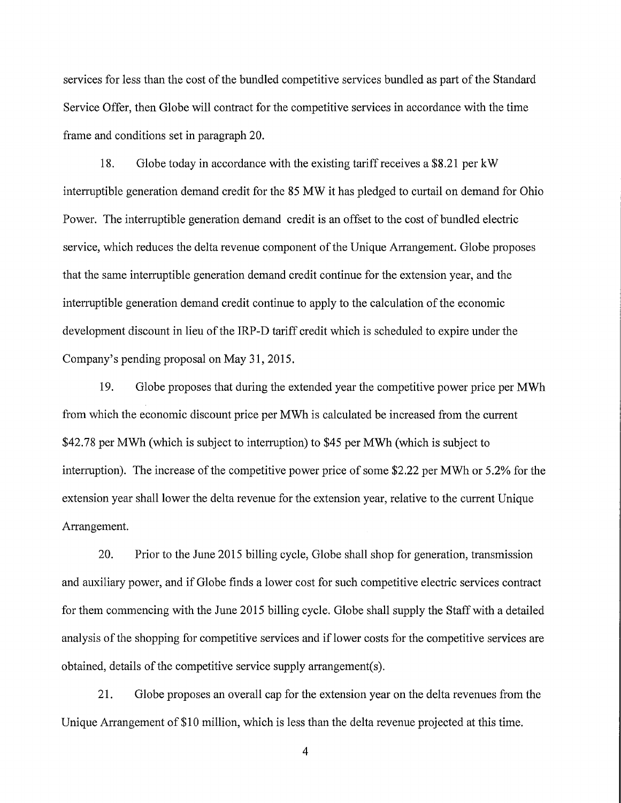services for less than the cost of the bundled competitive services bundled as part of the Standard Service Offer, then Globe will contract for the competitive services in accordance with the time frame and conditions set in paragraph 20.

18. Globe today in accordance with the existing tariff receives a \$8.21 per kW interruptible generation demand credit for the 85 MW it has pledged to curtail on demand for Ohio Power. The interruptible generation demand credit is an offset to the cost of bundled electric service, which reduces the delta revenue component of the Unique Arrangement. Globe proposes that the same interruptible generation demand credit continue for the extension year, and the interruptible generation demand credit continue to apply to the calculation of the economic development discount in lieu of the IRP-D tariff credit which is scheduled to expire under the Company's pending proposal on May 31, 2015.

19. Globe proposes that during the extended year the competitive power price per MWh from which the economic discount price per MWh is calculated be increased from the current \$42.78 per MWh (which is subject to interruption) to \$45 per MWh (which is subject to interruption). The increase of the competitive power price of some \$2.22 per MWh or 5.2% for the extension year shall lower the delta revenue for the extension year, relative to the current Unique Arrangement.

20. Prior to the June 2015 billing cycle. Globe shall shop for generation, transmission and auxiliary power, and if Globe finds a lower cost for such competitive electric services contract for them commencing with the June 2015 billing cycle. Globe shall supply the Staff with a detailed analysis of the shopping for competitive services and if lower costs for the competitive services are obtained, details of the competitive service supply arrangement(s).

21. Globe proposes an overall cap for the extension year on the delta revenues from the Unique Arrangement of \$10 million, which is less than the delta revenue projected at this time.

4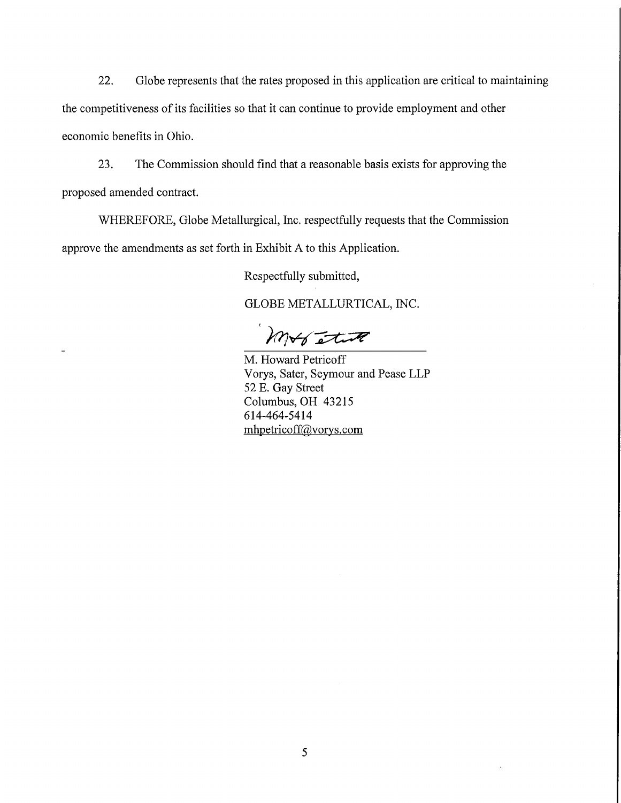22. Globe represents that the rates proposed in this applieation are critical to maintaining the competitiveness of its facilities so that it can continue to provide employment and other economic benefits in Ohio.

23. The Commission should find that a reasonable basis exists for approving the proposed amended contract.

WHEREFORE, Globe Metallurgical, Inc. respectfully requests that the Commission approve the amendments as set forth in Exhibit A to this Application.

Respectfully submitted.

GLOBE METALLURTICAL, INC.

mobilitie

M. Howard Petricoff Vorys, Sater, Seymour and Pease LLP 52 E. Gay Street Columbus, OH 43215 614-464-5414 mhpetricoff@vorys. com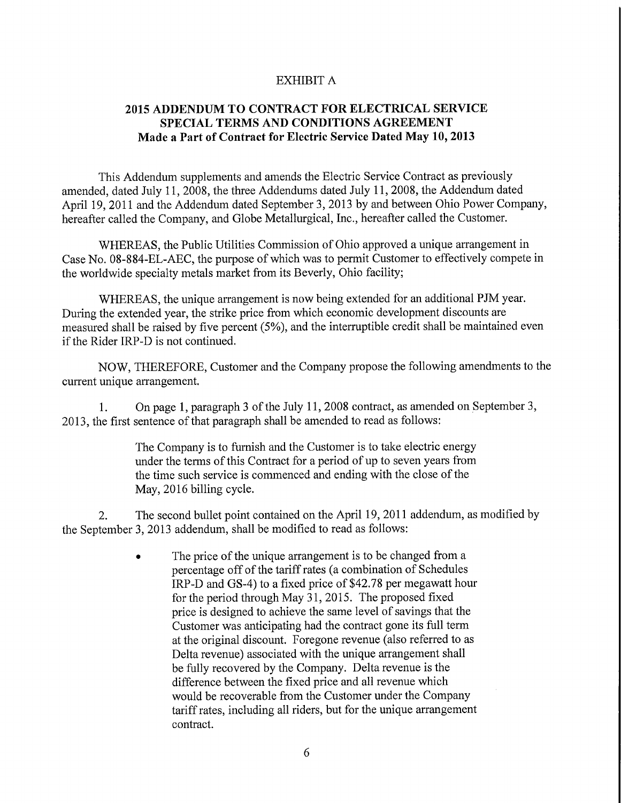## EXHIBIT A

# **2015 ADDENDUM TO CONTRACT FOR ELECTRICAL SERVICE SPECIAL TERMS AND CONDITIONS AGREEMENT Made a Part of Contract for Electric Service Dated May 10,2013**

This Addendum supplements and amends the Electric Service Contract as previously amended, dated July 11, 2008, the three Addendums dated July 11, 2008, the Addendum dated April 19, 2011 and the Addendum dated September 3, 2013 by and between Ohio Power Company, hereafter called the Company, and Globe Metallurgical, Inc., hereafter called the Customer.

WHEREAS, the Public Utilities Commission of Ohio approved a unique arrangement in Case No. 08-884-EL-AEC, the purpose of which was to permit Customer to effectively compete in the worldwide specialty metals market from its Beverly, Ohio facility;

WHEREAS, the unique arrangement is now being extended for an additional PJM year. During the extended year, the strike price from which economic development discounts are measured shall be raised by five percent (5%), and the interruptible credit shall be maintained even if the Rider IRP-D is not continued.

NOW, THEREFORE, Customer and the Company propose the following amendments to the current unique arrangement.

On page 1, paragraph 3 of the July 11, 2008 contract, as amended on September 3, 2013, the first sentence of that paragraph shall be amended to read as follows: 1.

> The Company is to furnish and the Customer is to take electric energy under the terms of this Contract for a period of up to seven years from the time such service is commenced and ending with the close of the May, 2016 billing cycle.

The second bullet point contained on the April 19, 2011 addendum, as modified by the September 3, 2013 addendum, shall be modified to read as follows: **2.**

> • The price of the unique arrangement is to be changed from a percentage off of the tariff rates (a combination of Schedules IRP-D and GS-4) to a fixed price of \$42.78 per megawatt hour for the period through May 31,2015. The proposed fixed price is designed to achieve the same level of savings that the Customer was anticipating had the contract gone its full term at the original discount. Foregone revenue (also referred to as Delta revenue) associated with the unique arrangement shall be fully recovered by the Company. Delta revenue is the difference between the fixed price and all revenue which would be recoverable from the Customer under the Company tariff rates, including all riders, but for the unique arrangement contract.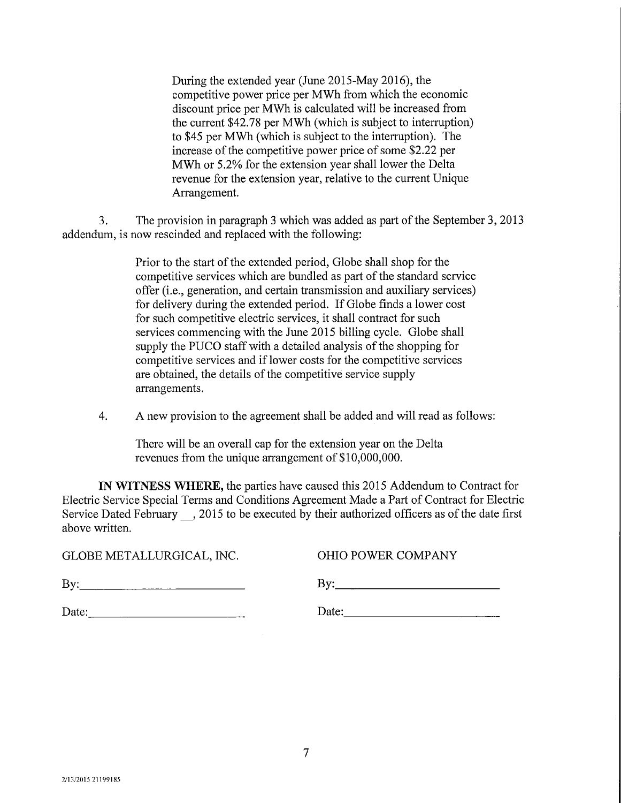During the extended year (June 2015-May 2016), the competitive power price per MWh from which the economic discount price per MWh is calculated will be increased from the current \$42.78 per MWh (which is subject to interruption) to \$45 per MWh (which is subject to the interruption). The increase of the competitive power price of some \$2.22 per MWh or 5.2% for the extension year shall lower the Delta revenue for the extension year, relative to the current Unique Arrangement.

The provision in paragraph 3 which was added as part of the September 3, 2013 addendum, is now rescinded and replaced with the following: 3.

> Prior to the start of the extended period, Globe shall shop for the competitive services which are bundled as part of the standard service offer (i.e., generation, and certain transmission and auxiliary services) for delivery during the extended period. If Globe finds a lower cost for such competitive electric services, it shall contract for such services commencing with the June 2015 billing cycle. Globe shall supply the PUCO staff with a detailed analysis of the shopping for competitive services and if lower costs for the competitive services are obtained, the details of the competitive service supply arrangements.

4. A new provision to the agreement shall be added and will read as follows:

There will be an overall cap for the extension year on the Delta revenues from the unique arrangement of \$10,000,000.

**IN WITNESS WHERE,** the parties have caused this 2015 Addendum to Contract for Electric Service Special Terms and Conditions Agreement Made a Part of Contract for Electric Service Dated February , 2015 to be executed by their authorized officers as of the date first above written.

GLOBE METALLURGICAL, INC. OHIO POWER COMPANY

By: By:

| Date: | Date: |
|-------|-------|
|-------|-------|